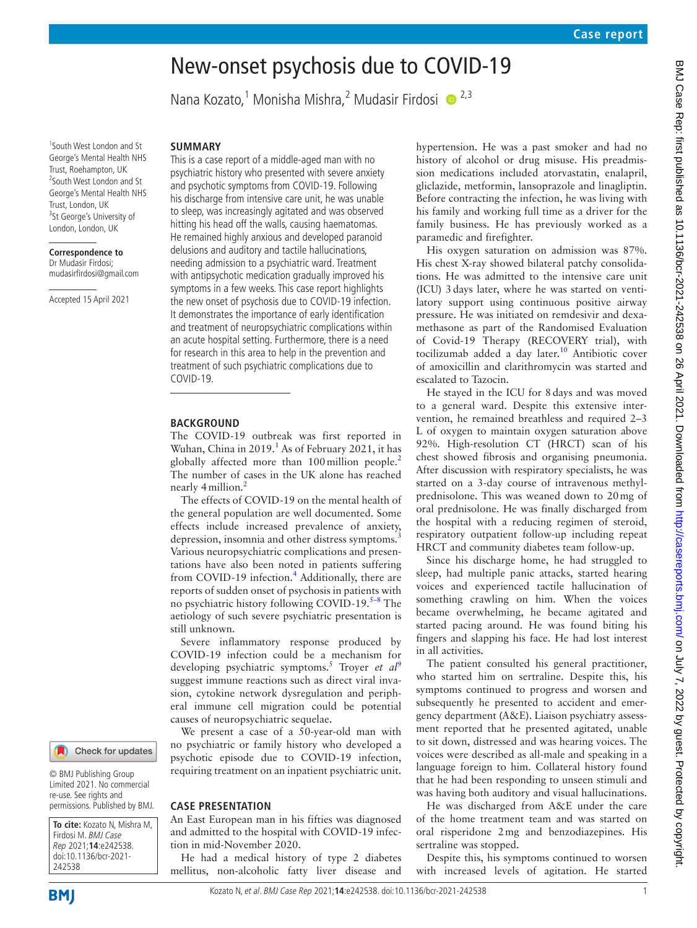# New-onset psychosis due to COVID-19

Nana Kozato,<sup>1</sup> Monisha Mishra,<sup>2</sup> Mudasir Firdosi © <sup>2,3</sup>

1 South West London and St George's Mental Health NHS Trust, Roehampton, UK 2 South West London and St George's Mental Health NHS Trust, London, UK <sup>3</sup>St George's University of London, London, UK

**Correspondence to** Dr Mudasir Firdosi; mudasirfirdosi@gmail.com

Accepted 15 April 2021

#### **SUMMARY**

This is a case report of a middle-aged man with no psychiatric history who presented with severe anxiety and psychotic symptoms from COVID-19. Following his discharge from intensive care unit, he was unable to sleep, was increasingly agitated and was observed hitting his head off the walls, causing haematomas. He remained highly anxious and developed paranoid delusions and auditory and tactile hallucinations, needing admission to a psychiatric ward. Treatment with antipsychotic medication gradually improved his symptoms in a few weeks. This case report highlights the new onset of psychosis due to COVID-19 infection. It demonstrates the importance of early identification and treatment of neuropsychiatric complications within an acute hospital setting. Furthermore, there is a need for research in this area to help in the prevention and treatment of such psychiatric complications due to COVID-19.

#### **BACKGROUND**

The COVID-19 outbreak was first reported in Wuhan, China in 20[1](#page-2-0)9.<sup>1</sup> As of February 2021, it has globally affected more than  $100$  million people.<sup>[2](#page-2-1)</sup> The number of cases in the UK alone has reached nearly 4 million.<sup>2</sup>

The effects of COVID-19 on the mental health of the general population are well documented. Some effects include increased prevalence of anxiety, depression, insomnia and other distress symptoms.<sup>[3](#page-2-2)</sup> Various neuropsychiatric complications and presentations have also been noted in patients suffering from COVID-19 infection.<sup>4</sup> Additionally, there are reports of sudden onset of psychosis in patients with no psychiatric history following COVID-19. $5-8$  The aetiology of such severe psychiatric presentation is still unknown.

Severe inflammatory response produced by COVID-19 infection could be a mechanism for developing psychiatric symptoms.<sup>[5](#page-2-4)</sup> Troyer et al<sup>[9](#page-3-0)</sup> suggest immune reactions such as direct viral invasion, cytokine network dysregulation and peripheral immune cell migration could be potential causes of neuropsychiatric sequelae.

We present a case of a 50-year-old man with no psychiatric or family history who developed a psychotic episode due to COVID-19 infection, requiring treatment on an inpatient psychiatric unit.

#### **CASE PRESENTATION**

An East European man in his fifties was diagnosed and admitted to the hospital with COVID-19 infection in mid-November 2020.

He had a medical history of type 2 diabetes mellitus, non-alcoholic fatty liver disease and hypertension. He was a past smoker and had no history of alcohol or drug misuse. His preadmission medications included atorvastatin, enalapril, gliclazide, metformin, lansoprazole and linagliptin. Before contracting the infection, he was living with his family and working full time as a driver for the family business. He has previously worked as a paramedic and firefighter.

His oxygen saturation on admission was 87%. His chest X-ray showed bilateral patchy consolidations. He was admitted to the intensive care unit (ICU) 3days later, where he was started on ventilatory support using continuous positive airway pressure. He was initiated on remdesivir and dexamethasone as part of the Randomised Evaluation of Covid-19 Therapy (RECOVERY trial), with tocilizumab added a day later. $10$  Antibiotic cover of amoxicillin and clarithromycin was started and escalated to Tazocin.

He stayed in the ICU for 8days and was moved to a general ward. Despite this extensive intervention, he remained breathless and required 2–3 L of oxygen to maintain oxygen saturation above 92%. High-resolution CT (HRCT) scan of his chest showed fibrosis and organising pneumonia. After discussion with respiratory specialists, he was started on a 3-day course of intravenous methylprednisolone. This was weaned down to 20mg of oral prednisolone. He was finally discharged from the hospital with a reducing regimen of steroid, respiratory outpatient follow-up including repeat HRCT and community diabetes team follow-up.

Since his discharge home, he had struggled to sleep, had multiple panic attacks, started hearing voices and experienced tactile hallucination of something crawling on him. When the voices became overwhelming, he became agitated and started pacing around. He was found biting his fingers and slapping his face. He had lost interest in all activities.

The patient consulted his general practitioner, who started him on sertraline. Despite this, his symptoms continued to progress and worsen and subsequently he presented to accident and emergency department (A&E). Liaison psychiatry assessment reported that he presented agitated, unable to sit down, distressed and was hearing voices. The voices were described as all-male and speaking in a language foreign to him. Collateral history found that he had been responding to unseen stimuli and was having both auditory and visual hallucinations.

He was discharged from A&E under the care of the home treatment team and was started on oral risperidone 2mg and benzodiazepines. His sertraline was stopped.

Despite this, his symptoms continued to worsen with increased levels of agitation. He started

#### © BMJ Publishing Group Limited 2021. No commercial

re-use. See rights and permissions. Published by BMJ.

Check for updates

**To cite:** Kozato N, Mishra M, Firdosi M. BMJ Case Rep 2021;**14**:e242538. doi:10.1136/bcr-2021- 242538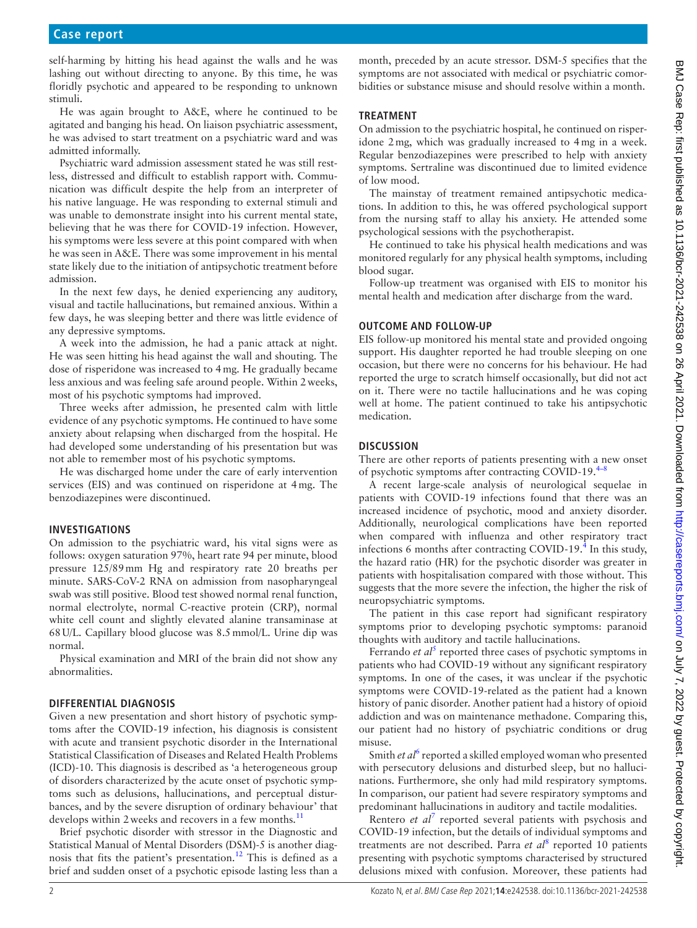self-harming by hitting his head against the walls and he was lashing out without directing to anyone. By this time, he was floridly psychotic and appeared to be responding to unknown stimuli.

He was again brought to A&E, where he continued to be agitated and banging his head. On liaison psychiatric assessment, he was advised to start treatment on a psychiatric ward and was admitted informally.

Psychiatric ward admission assessment stated he was still restless, distressed and difficult to establish rapport with. Communication was difficult despite the help from an interpreter of his native language. He was responding to external stimuli and was unable to demonstrate insight into his current mental state, believing that he was there for COVID-19 infection. However, his symptoms were less severe at this point compared with when he was seen in A&E. There was some improvement in his mental state likely due to the initiation of antipsychotic treatment before admission.

In the next few days, he denied experiencing any auditory, visual and tactile hallucinations, but remained anxious. Within a few days, he was sleeping better and there was little evidence of any depressive symptoms.

A week into the admission, he had a panic attack at night. He was seen hitting his head against the wall and shouting. The dose of risperidone was increased to 4mg. He gradually became less anxious and was feeling safe around people. Within 2weeks, most of his psychotic symptoms had improved.

Three weeks after admission, he presented calm with little evidence of any psychotic symptoms. He continued to have some anxiety about relapsing when discharged from the hospital. He had developed some understanding of his presentation but was not able to remember most of his psychotic symptoms.

He was discharged home under the care of early intervention services (EIS) and was continued on risperidone at 4mg. The benzodiazepines were discontinued.

#### **INVESTIGATIONS**

On admission to the psychiatric ward, his vital signs were as follows: oxygen saturation 97%, heart rate 94 per minute, blood pressure 125/89mm Hg and respiratory rate 20 breaths per minute. SARS-CoV-2 RNA on admission from nasopharyngeal swab was still positive. Blood test showed normal renal function, normal electrolyte, normal C-reactive protein (CRP), normal white cell count and slightly elevated alanine transaminase at 68U/L. Capillary blood glucose was 8.5mmol/L. Urine dip was normal.

Physical examination and MRI of the brain did not show any abnormalities.

## **DIFFERENTIAL DIAGNOSIS**

Given a new presentation and short history of psychotic symptoms after the COVID-19 infection, his diagnosis is consistent with acute and transient psychotic disorder in the International Statistical Classification of Diseases and Related Health Problems (ICD)-10. This diagnosis is described as 'a heterogeneous group of disorders characterized by the acute onset of psychotic symptoms such as delusions, hallucinations, and perceptual disturbances, and by the severe disruption of ordinary behaviour' that develops within 2 weeks and recovers in a few months. $<sup>11</sup>$  $<sup>11</sup>$  $<sup>11</sup>$ </sup>

Brief psychotic disorder with stressor in the Diagnostic and Statistical Manual of Mental Disorders (DSM)-5 is another diagnosis that fits the patient's presentation.<sup>12</sup> This is defined as a brief and sudden onset of a psychotic episode lasting less than a

month, preceded by an acute stressor. DSM-5 specifies that the symptoms are not associated with medical or psychiatric comorbidities or substance misuse and should resolve within a month.

### **TREATMENT**

On admission to the psychiatric hospital, he continued on risperidone 2mg, which was gradually increased to 4mg in a week. Regular benzodiazepines were prescribed to help with anxiety symptoms. Sertraline was discontinued due to limited evidence of low mood.

The mainstay of treatment remained antipsychotic medications. In addition to this, he was offered psychological support from the nursing staff to allay his anxiety. He attended some psychological sessions with the psychotherapist.

He continued to take his physical health medications and was monitored regularly for any physical health symptoms, including blood sugar.

Follow-up treatment was organised with EIS to monitor his mental health and medication after discharge from the ward.

## **OUTCOME AND FOLLOW-UP**

EIS follow-up monitored his mental state and provided ongoing support. His daughter reported he had trouble sleeping on one occasion, but there were no concerns for his behaviour. He had reported the urge to scratch himself occasionally, but did not act on it. There were no tactile hallucinations and he was coping well at home. The patient continued to take his antipsychotic medication.

## **DISCUSSION**

There are other reports of patients presenting with a new onset of psychotic symptoms after contracting COVID-19. $4-8$ 

A recent large-scale analysis of neurological sequelae in patients with COVID-19 infections found that there was an increased incidence of psychotic, mood and anxiety disorder. Additionally, neurological complications have been reported when compared with influenza and other respiratory tract infections 6 months after contracting COVID-19.<sup>4</sup> In this study, the hazard ratio (HR) for the psychotic disorder was greater in patients with hospitalisation compared with those without. This suggests that the more severe the infection, the higher the risk of neuropsychiatric symptoms.

The patient in this case report had significant respiratory symptoms prior to developing psychotic symptoms: paranoid thoughts with auditory and tactile hallucinations.

Ferrando *et al*<sup>[5](#page-2-4)</sup> reported three cases of psychotic symptoms in patients who had COVID-19 without any significant respiratory symptoms. In one of the cases, it was unclear if the psychotic symptoms were COVID-19-related as the patient had a known history of panic disorder. Another patient had a history of opioid addiction and was on maintenance methadone. Comparing this, our patient had no history of psychiatric conditions or drug misuse.

Smith *et al*<sup>[6](#page-3-4)</sup> reported a skilled employed woman who presented with persecutory delusions and disturbed sleep, but no hallucinations. Furthermore, she only had mild respiratory symptoms. In comparison, our patient had severe respiratory symptoms and predominant hallucinations in auditory and tactile modalities.

Rentero *et al<sup>[7](#page-3-5)</sup>* reported several patients with psychosis and COVID-19 infection, but the details of individual symptoms and treatments are not described. Parra *et al*<sup>[8](#page-3-6)</sup> reported 10 patients presenting with psychotic symptoms characterised by structured delusions mixed with confusion. Moreover, these patients had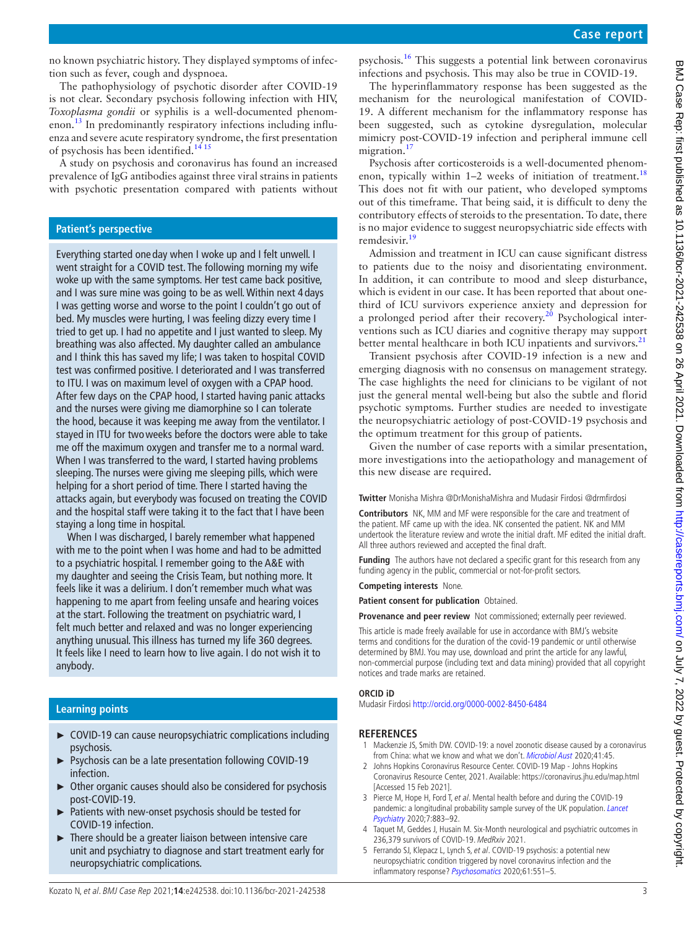no known psychiatric history. They displayed symptoms of infection such as fever, cough and dyspnoea.

The pathophysiology of psychotic disorder after COVID-19 is not clear. Secondary psychosis following infection with HIV, *Toxoplasma gondii* or syphilis is a well-documented phenomenon.[13](#page-3-7) In predominantly respiratory infections including influenza and severe acute respiratory syndrome, the first presentation of psychosis has been identified.<sup>[14 15](#page-3-8)</sup>

A study on psychosis and coronavirus has found an increased prevalence of IgG antibodies against three viral strains in patients with psychotic presentation compared with patients without

### **Patient's perspective**

Everything started one day when I woke up and I felt unwell. I went straight for a COVID test. The following morning my wife woke up with the same symptoms. Her test came back positive, and I was sure mine was going to be as well. Within next 4 days I was getting worse and worse to the point I couldn't go out of bed. My muscles were hurting, I was feeling dizzy every time I tried to get up. I had no appetite and I just wanted to sleep. My breathing was also affected. My daughter called an ambulance and I think this has saved my life; I was taken to hospital COVID test was confirmed positive. I deteriorated and I was transferred to ITU. I was on maximum level of oxygen with a CPAP hood. After few days on the CPAP hood, I started having panic attacks and the nurses were giving me diamorphine so I can tolerate the hood, because it was keeping me away from the ventilator. I stayed in ITU for twoweeks before the doctors were able to take me off the maximum oxygen and transfer me to a normal ward. When I was transferred to the ward, I started having problems sleeping. The nurses were giving me sleeping pills, which were helping for a short period of time. There I started having the attacks again, but everybody was focused on treating the COVID and the hospital staff were taking it to the fact that I have been staying a long time in hospital.

When I was discharged, I barely remember what happened with me to the point when I was home and had to be admitted to a psychiatric hospital. I remember going to the A&E with my daughter and seeing the Crisis Team, but nothing more. It feels like it was a delirium. I don't remember much what was happening to me apart from feeling unsafe and hearing voices at the start. Following the treatment on psychiatric ward, I felt much better and relaxed and was no longer experiencing anything unusual. This illness has turned my life 360 degrees. It feels like I need to learn how to live again. I do not wish it to anybody.

#### **Learning points**

- ► COVID-19 can cause neuropsychiatric complications including psychosis.
- ► Psychosis can be a late presentation following COVID-19 infection.
- ► Other organic causes should also be considered for psychosis post-COVID-19.
- ► Patients with new-onset psychosis should be tested for COVID-19 infection.
- ► There should be a greater liaison between intensive care unit and psychiatry to diagnose and start treatment early for neuropsychiatric complications.

psychosis.[16](#page-3-9) This suggests a potential link between coronavirus infections and psychosis. This may also be true in COVID-19.

The hyperinflammatory response has been suggested as the mechanism for the neurological manifestation of COVID-19. A different mechanism for the inflammatory response has been suggested, such as cytokine dysregulation, molecular mimicry post-COVID-19 infection and peripheral immune cell migration.<sup>[17](#page-3-10)</sup>

Psychosis after corticosteroids is a well-documented phenomenon, typically within  $1-2$  weeks of initiation of treatment.<sup>[18](#page-3-11)</sup> This does not fit with our patient, who developed symptoms out of this timeframe. That being said, it is difficult to deny the contributory effects of steroids to the presentation. To date, there is no major evidence to suggest neuropsychiatric side effects with remdesivir.<sup>[19](#page-3-12)</sup>

Admission and treatment in ICU can cause significant distress to patients due to the noisy and disorientating environment. In addition, it can contribute to mood and sleep disturbance, which is evident in our case. It has been reported that about onethird of ICU survivors experience anxiety and depression for a prolonged period after their recovery.<sup>20</sup> Psychological interventions such as ICU diaries and cognitive therapy may support better mental healthcare in both ICU inpatients and survivors.<sup>[21](#page-3-14)</sup>

Transient psychosis after COVID-19 infection is a new and emerging diagnosis with no consensus on management strategy. The case highlights the need for clinicians to be vigilant of not just the general mental well-being but also the subtle and florid psychotic symptoms. Further studies are needed to investigate the neuropsychiatric aetiology of post-COVID-19 psychosis and the optimum treatment for this group of patients.

Given the number of case reports with a similar presentation, more investigations into the aetiopathology and management of this new disease are required.

**Twitter** Monisha Mishra [@DrMonishaMishra](https://twitter.com/DrMonishaMishra) and Mudasir Firdosi [@drmfirdosi](https://twitter.com/drmfirdosi)

**Contributors** NK, MM and MF were responsible for the care and treatment of the patient. MF came up with the idea. NK consented the patient. NK and MM undertook the literature review and wrote the initial draft. MF edited the initial draft. All three authors reviewed and accepted the final draft.

**Funding** The authors have not declared a specific grant for this research from any funding agency in the public, commercial or not-for-profit sectors.

**Competing interests** None.

**Patient consent for publication** Obtained.

**Provenance and peer review** Not commissioned; externally peer reviewed.

This article is made freely available for use in accordance with BMJ's website terms and conditions for the duration of the covid-19 pandemic or until otherwise determined by BMJ. You may use, download and print the article for any lawful, non-commercial purpose (including text and data mining) provided that all copyright notices and trade marks are retained.

#### **ORCID iD**

Mudasir Firdosi<http://orcid.org/0000-0002-8450-6484>

## **REFERENCES**

- <span id="page-2-0"></span>1 Mackenzie JS, Smith DW. COVID-19: a novel zoonotic disease caused by a coronavirus from China: what we know and what we don't. [Microbiol Aust](http://dx.doi.org/10.1071/MA20013) 2020;41:45.
- <span id="page-2-1"></span>2 Johns Hopkins Coronavirus Resource Center. COVID-19 Map - Johns Hopkins Coronavirus Resource Center, 2021. Available:<https://coronavirus.jhu.edu/map.html> [Accessed 15 Feb 2021].
- <span id="page-2-2"></span>3 Pierce M, Hope H, Ford T, et al. Mental health before and during the COVID-19 pandemic: a longitudinal probability sample survey of the UK population. Lancet [Psychiatry](http://dx.doi.org/10.1016/S2215-0366(20)30308-4) 2020;7:883–92.
- <span id="page-2-3"></span>4 Taquet M, Geddes J, Husain M. Six-Month neurological and psychiatric outcomes in 236,379 survivors of COVID-19. MedRxiv 2021.
- <span id="page-2-4"></span>5 Ferrando SJ, Klepacz L, Lynch S, et al. COVID-19 psychosis: a potential new neuropsychiatric condition triggered by novel coronavirus infection and the inflammatory response? [Psychosomatics](http://dx.doi.org/10.1016/j.psym.2020.05.012) 2020;61:551-5.